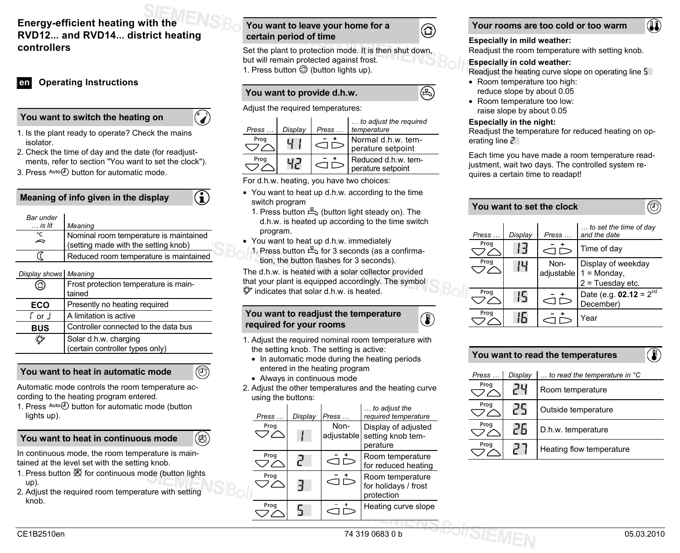# **Energy-efficient heating with the RVD12… and RVD14… district heating controllers**

# **en Operating Instructions**

## **You want to switch the heating on**

1. Is the plant ready to operate? Check the mains isolator.

 $\odot$ 

G

 $^{\circledR}$ 

- 2. Check the time of day and the date (for readjustments, refer to section "You want to set the clock").
- 3. Press Auto<sup>(1</sup>) button for automatic mode.

**Meaning of info given in the display** 

| Bar under       |                                        |
|-----------------|----------------------------------------|
| $\ldots$ is lit | Meaning                                |
| °C<br>$\sim$    | Nominal room temperature is maintained |
|                 | (setting made with the setting knob)   |
|                 | Reduced room temperature is maintained |
|                 |                                        |

### *Display shows Meaning*

| ☎                                    | Frost protection temperature is main-<br>tained          |  |  |
|--------------------------------------|----------------------------------------------------------|--|--|
| Presently no heating required<br>ECO |                                                          |  |  |
| ∫ or ⊥                               | A limitation is active                                   |  |  |
| <b>BUS</b>                           | Controller connected to the data bus                     |  |  |
|                                      | Solar d.h.w. charging<br>(certain controller types only) |  |  |

**You want to heat in automatic mode** 

Automatic mode controls the room temperature according to the heating program entered.

1. Press  $Aut_0$  button for automatic mode (button lights up).

# **You want to heat in continuous mode**

- 1. Press button  $\mathfrak A$  for continuous mode (button lights up).
- 2. Adjust the required room temperature with setting knob.

# **You want to leave your home for a certain period of time**

Set the plant to protection mode. It is then shut down, but will remain protected against frost. 1. Press button  $\mathcal O$  (button lights up).

 ⓒ

B)

 $\circledR$ 

# **You want to provide d.h.w.**

Adjust the required temperatures:

| $Press \dots$ | Display | $Press \dots$ | to adjust the required<br>temperature    |
|---------------|---------|---------------|------------------------------------------|
| Prog          |         |               | Normal d.h.w. tem-<br>perature setpoint  |
| Prog          |         |               | Reduced d.h.w. tem-<br>perature setpoint |

For d.h.w. heating, you have two choices:

- You want to heat up d.h.w. according to the time switch program
	- 1. Press button (button light steady on). The d.h.w. is heated up according to the time switch program.
- You want to heat up d.h.w. immediately
- 1. Press button for 3 seconds (as a confirmation, the button flashes for 3 seconds).

The d.h.w. is heated with a solar collector provided that your plant is equipped accordingly. The symbol indicates that solar d.h.w. is heated.

## **You want to readjust the temperature required for your rooms**

- 1. Adjust the required nominal room temperature with the setting knob. The setting is active:
	- In automatic mode during the heating periods entered in the heating program
- Always in continuous mode
- 2. Adjust the other temperatures and the heating curve using the buttons:

| . Press $\text{Auto}(U)$ button for automatic mode (button<br>lights up).                                                        | Press                       | Display Press  | to adjust the<br>required temperature                           | Prog         | 25 | Outside temperature      |
|----------------------------------------------------------------------------------------------------------------------------------|-----------------------------|----------------|-----------------------------------------------------------------|--------------|----|--------------------------|
| $\circledR$<br>You want to heat in continuous mode                                                                               | Prog<br>$\bigcirc\triangle$ | Non-           | Display of adjusted<br>adjustable setting knob tem-<br>perature | Prog<br>Prog | 26 | D.h.w. temperature       |
| In continuous mode, the room temperature is main-<br>tained at the level set with the setting knob.                              | Prog                        | $\bigcirc$     | Room temperature<br>for reduced heating                         |              | 27 | Heating flow temperature |
| 1. Press button $\mathfrak A$ for continuous mode (button lights<br>up).<br>2. Adjust the required room temperature with setting | Prog<br>フヘ                  | $\subset \neg$ | Room temperature<br>for holidays / frost<br>protection          |              |    |                          |
| knob.                                                                                                                            | Prog                        | ⊂              | Heating curve slope                                             |              |    |                          |
| CE1B2510en                                                                                                                       |                             |                | 74 319 0683 0 b                                                 |              |    | 05.03.2010               |



### **Especially in mild weather:**

Readjust the room temperature with setting knob.

### **Especially in cold weather:**

Readjust the heating curve slope on operating line 5

(II)

- Room temperature too high: reduce slope by about 0.05
- Room temperature too low: raise slope by about 0.05

#### **Especially in the night:**

Readjust the temperature for reduced heating on operating line  $2$ 

Each time you have made a room temperature readjustment, wait two days. The controlled system requires a certain time to readapt!

| You want to set the clock |         |                    |                                                           |  |  |  |  |
|---------------------------|---------|--------------------|-----------------------------------------------------------|--|--|--|--|
| Press                     | Display | Press              | $\dots$ to set the time of day<br>and the date            |  |  |  |  |
| Prog                      | ¦ -¦    |                    | Time of day                                               |  |  |  |  |
| Prog                      | IЧ      | Non-<br>adjustable | Display of weekday<br>$1 =$ Monday,<br>$2$ = Tuesday etc. |  |  |  |  |
| Prog                      | 15      |                    | Date (e.g. $02.12 = 2^{nd}$<br>December)                  |  |  |  |  |
| Prog                      |         |                    | Year                                                      |  |  |  |  |

| П.<br>You want to read the temperatures |         |                                                 |  |  |  |
|-----------------------------------------|---------|-------------------------------------------------|--|--|--|
| Press                                   | Display | $\dots$ to read the temperature in $^{\circ}$ C |  |  |  |
| Prog                                    |         | Room temperature                                |  |  |  |
| Prog                                    |         | Outside temperature                             |  |  |  |
| Prog<br>26                              |         | D.h.w. temperature                              |  |  |  |
| Prog                                    |         | Heating flow temperature                        |  |  |  |